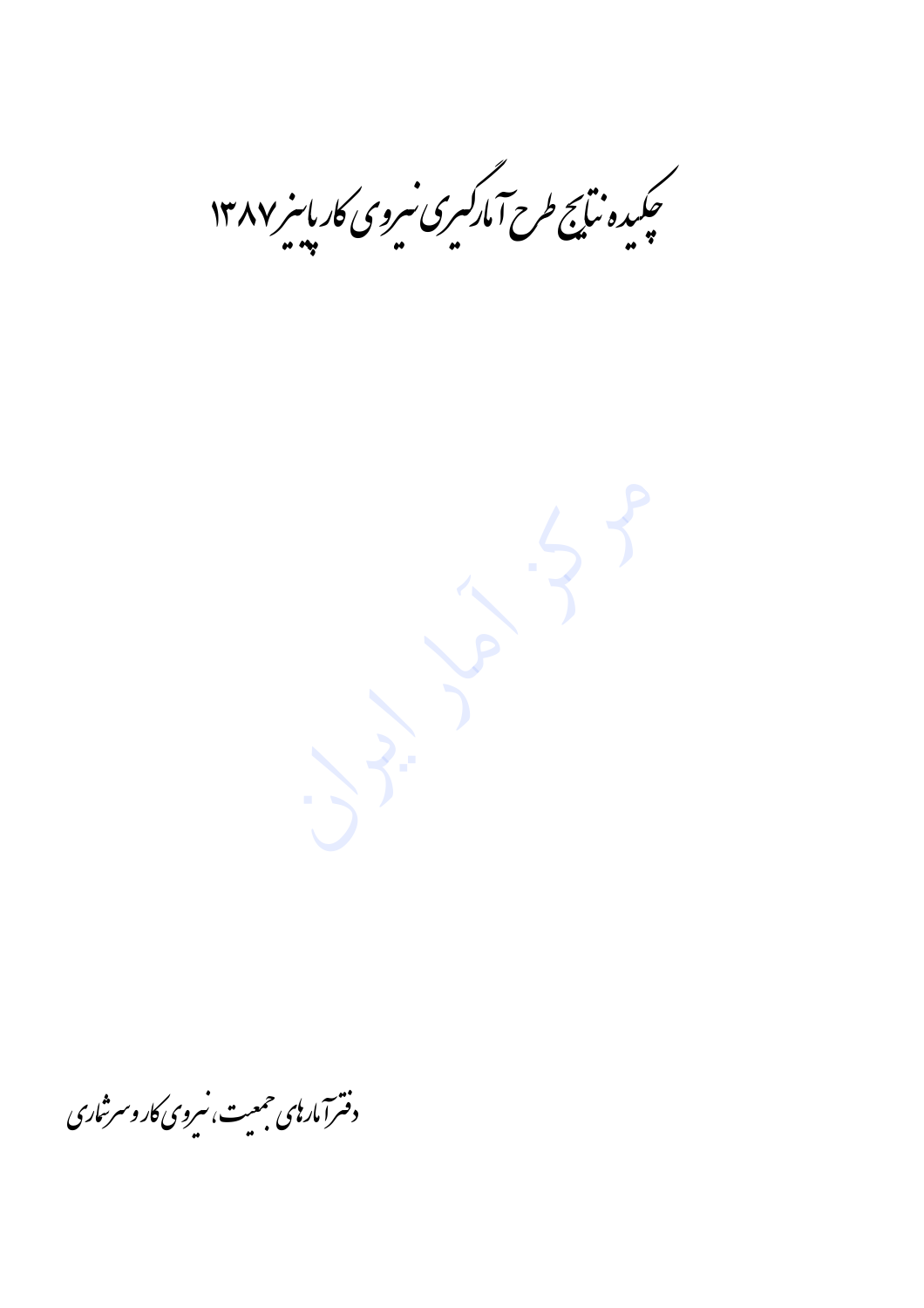۔<br>چکیدہ نیائج طرح آمارکسری سروی کار پاسر ۱۳۸۷

 $\sim$  3

دفترآ مار بی حمعیت، سروی کار و سرشاری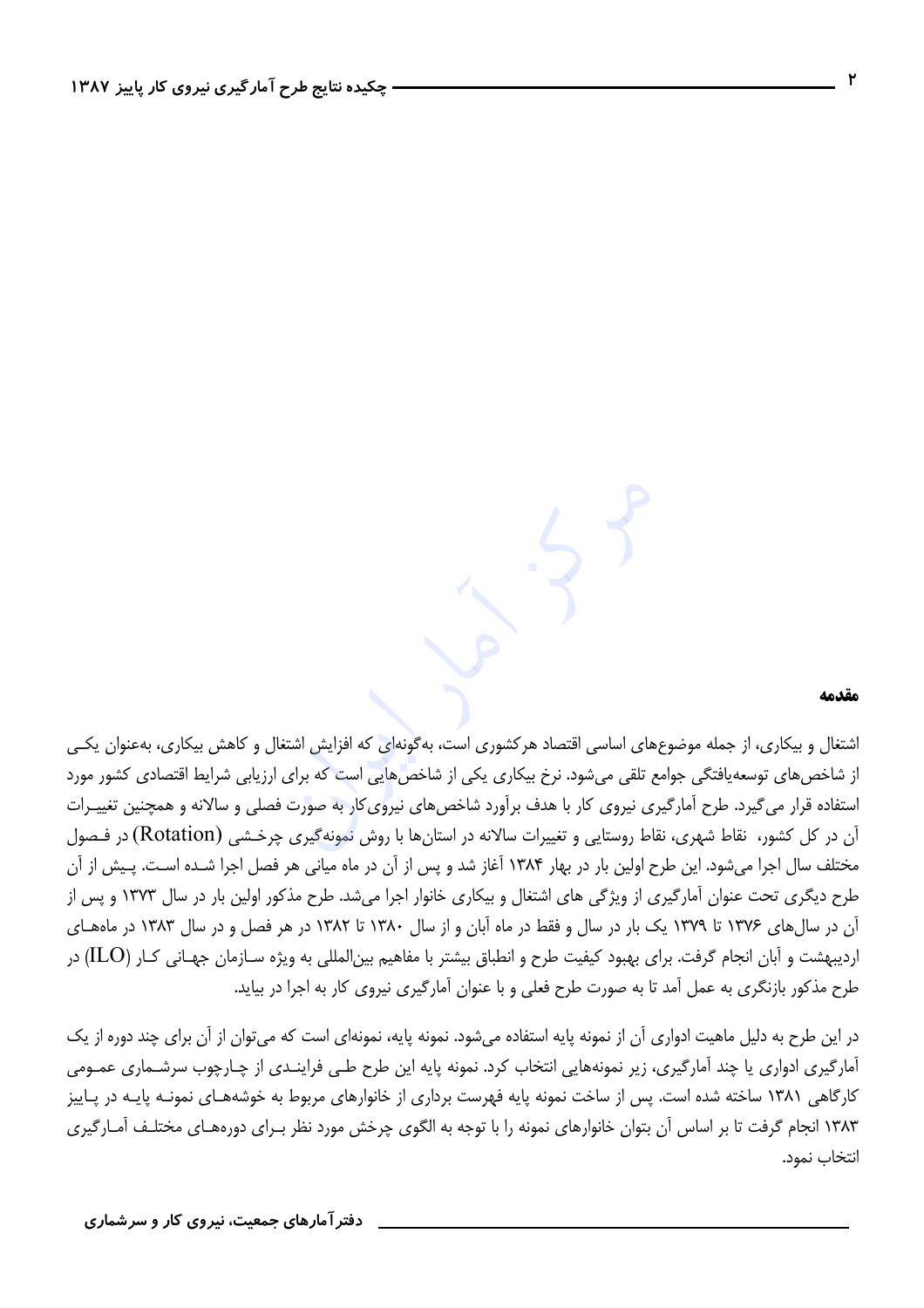### مقدمه

اشتغال و بیکاری، از جمله موضوعهای اساسی اقتصاد هرکشوری است، بهگونهای که افزایش اشتغال و کاهش بیکاری، بهعنوان یکبی از شاخصهای توسعهیافتگی جوامع تلقی میشود. نرخ بیکاری یکی از شاخصهایی است که برای ارزیابی شرایط اقتصادی کشور مورد استفاده قرار می گیرد. طرح آمارگیری نیروی کار با هدف برآورد شاخصهای نیروی کار به صورت فصلی و سالانه و همچنین تغییـرات آن در کل کشور، نقاط شهری، نقاط روستایی و تغییرات سالانه در استانها با روش نمونهگیری چرخـشی (Rotation) در فـصول مختلف سال اجرا میشود. این طرح اولین بار در بهار ۱۳۸۴ آغاز شد و پس از آن در ماه میانی هر فصل اجرا شـده اسـت. پـیش از آن طرح دیگری تحت عنوان آمارگیری از ویژگی های اشتغال و بیکاری خانوار اجرا میشد. طرح مذکور اولین بار در سال ۱۳۷۳ و پس از آن در سال های ۱۳۷۶ تا ۱۳۷۹ یک بار در سال و فقط در ماه آبان و از سال ۱۳۸۰ تا ۱۳۸۲ در هر فصل و در سال ۱۳۸۳ در ماههای اردیبهشت و آبان انجام گرفت. برای بهبود کیفیت طرح و انطباق بیشتر با مفاهیم بینالمللی به ویژه سـازمان جهـانی کـار (ILO) در طرح مذکور بازنگری به عمل آمد تا به صورت طرح فعلی و با عنوان آمارگیری نیروی کار به اجرا در بیاید.

در این طرح به دلیل ماهیت ادواری آن از نمونه پایه استفاده میشود. نمونه پایه، نمونهای است که میتوان از آن برای چند دوره از یک آمارگیری ادواری یا چند آمارگیری، زیر نمونههایی انتخاب کرد. نمونه پایه این طرح طے فراینـدی از چـارچوب سرشـماری عمـومی کارگاهی ۱۳۸۱ ساخته شده است. پس از ساخت نمونه پایه فهرست برداری از خانوارهای مربوط به خوشههـای نمونـه پایـه در پـاییز ۱۳۸۳ انجام گرفت تا بر اساس آن بتوان خانوارهای نمونه را با توجه به الگوی چرخش مورد نظر بـرای دورههـای مختلـف آمـارگيری انتخاب نمود.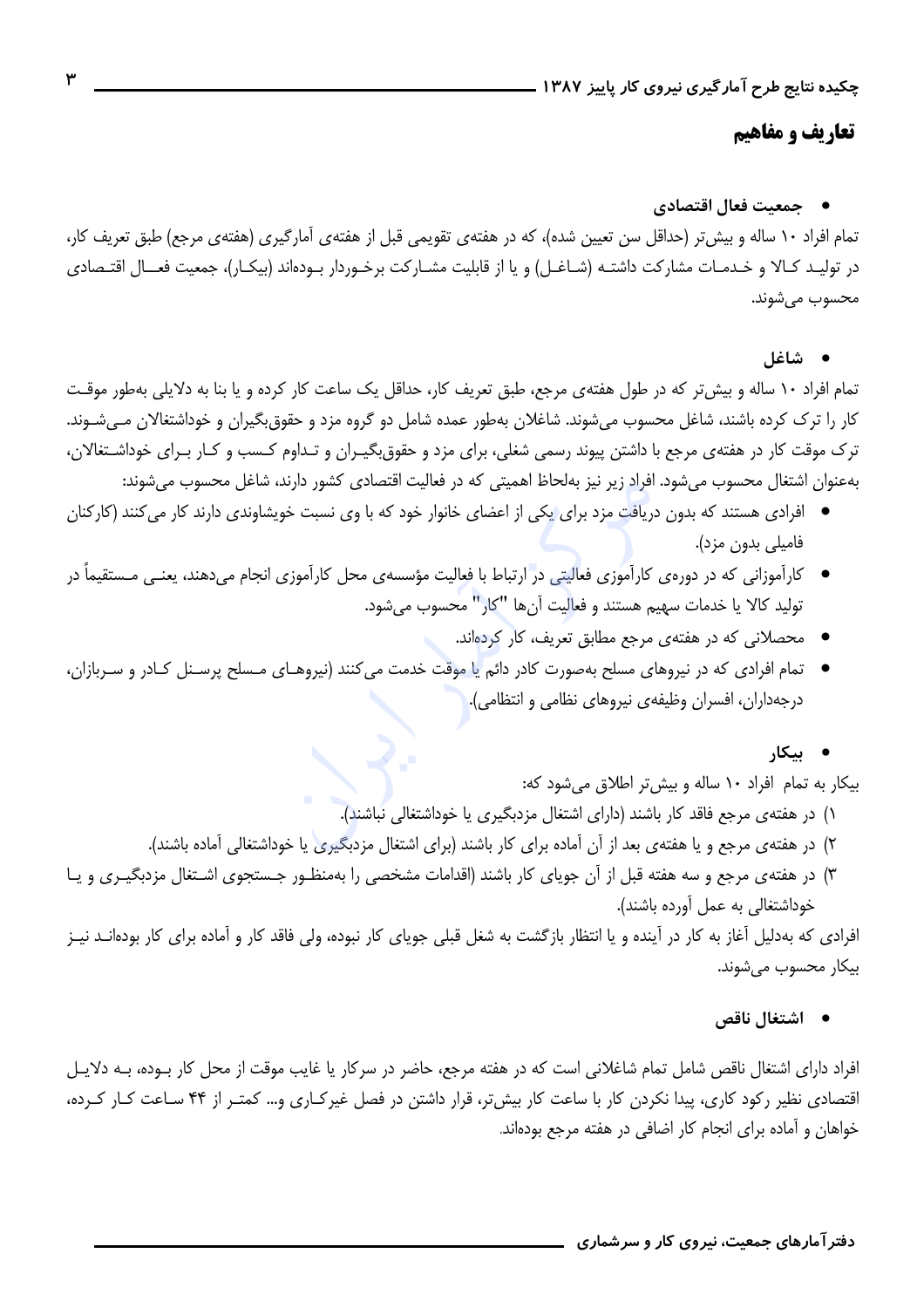## تعاريف و مفاهيم

## ● جمعیت فعال اقتصادی

تمام افراد ۱۰ ساله و بیش تر (حداقل سن تعیین شده)، که در هفتهی تقویمی قبل از هفتهی آمارگیری (هفتهی مرجع) طبق تعریف کار، در تولیـد کـالا و خـدمـات مشارکت داشتـه (شـاغـل) و یا از قابلیت مشـارکت برخـوردار بـودهاند (بیکـار)، جمعیت فعــال اقتـصادی محسوب مي شوند.

• شاغل

تمام افراد ١٠ ساله و بیش تر که در طول هفتهی مرجع، طبق تعریف کار، حداقل یک ساعت کار کرده و یا بنا به دلایلی بهطور موقت کار را ترک کرده باشند، شاغل محسوب میشوند. شاغلان بهطور عمده شامل دو گروه مزد و حقوق بگیران و خوداشتغالان مـیشـوند. ترک موقت کار در هفتهی مرجع با داشتن پیوند رسمی شغلی، برای مزد و حقوق بگیـران و تـداوم کـسب و کـار بـرای خوداشـتغالان، بهعنوان اشتغال محسوب میشود. افراد زیر نیز بهلحاظ اهمیتی که در فعالیت اقتصادی کشور دارند، شاغل محسوب میشوند:

- افرادی هستند که بدون دریاف<mark>ت مزد برای یکی از اعضای خانوار خود که با وی نسبت خویشاوندی دارند کار میکنند (کارکنان</mark> فاميلي بدون مزد).
- کارآموزانی که در دورهی کارآموزی فعالیتی در ارتباط با فعالیت مؤسسهی محل کارآموزی انجام میدهند، یعنـی مـستقیماً در توليد كالا يا خدمات سهيم هستند و فعاليت آنها "كار" محسوب مي شود.
	- محصلانی که در هفتهی مرجع مطابق تعریف، کار کردهاند.
- تمام افرادی که در نیروهای مسلح بهصورت کادر دائم یا موقت خدمت می کنند (نیروهـای مـسلح پرسـنل کـادر و سـربازان، درجهداران، افسران وظیفهی نیروهای نظامی و انتظامی).
	- بیکار

بیکار به تمام افراد ١٠ ساله و بیش تر اطلاق می شود که:

۱) در هفتهی مرجع فاقد کار باشند (دارای اشتغال مزدبگیری یا خوداشتغالی نباشند).

- ۲) در هفتهی مرجع و یا هفتهی بعد از آن آماده برای کار باشند (برای اشتغال مزدبگیری یا خوداشتغالی آماده باشند).
- ۳) در هفته ی مرجع و سه هفته قبل از آن جویای کار باشند (اقدامات مشخصی را بهمنظـور جـستجوی اشـتغال مزدبگیـری و یـا خوداشتغالی به عمل اورده باشند).

افرادی که بهدلیل آغاز به کار در آینده و یا انتظار بازگشت به شغل قبلی جویای کار نبوده، ولی فاقد کار و آماده برای کار بودهانـد نیـز بیکار محسوب میشوند.

• اشتغال ناقص

افراد دارای اشتغال ناقص شامل تمام شاغلانی است که در هفته مرجع، حاضر در سرکار یا غایب موقت از محل کار بوده، بـه دلایـل اقتصادی نظیر رکود کاری، پیدا نکردن کار با ساعت کار بیش تر، قرار داشتن در فصل غیرکباری و… کمتبر از ۴۴ سباعت کبار کبرده، خواهان و آماده برای انجام کار اضافی در هفته مرجع بودهاند.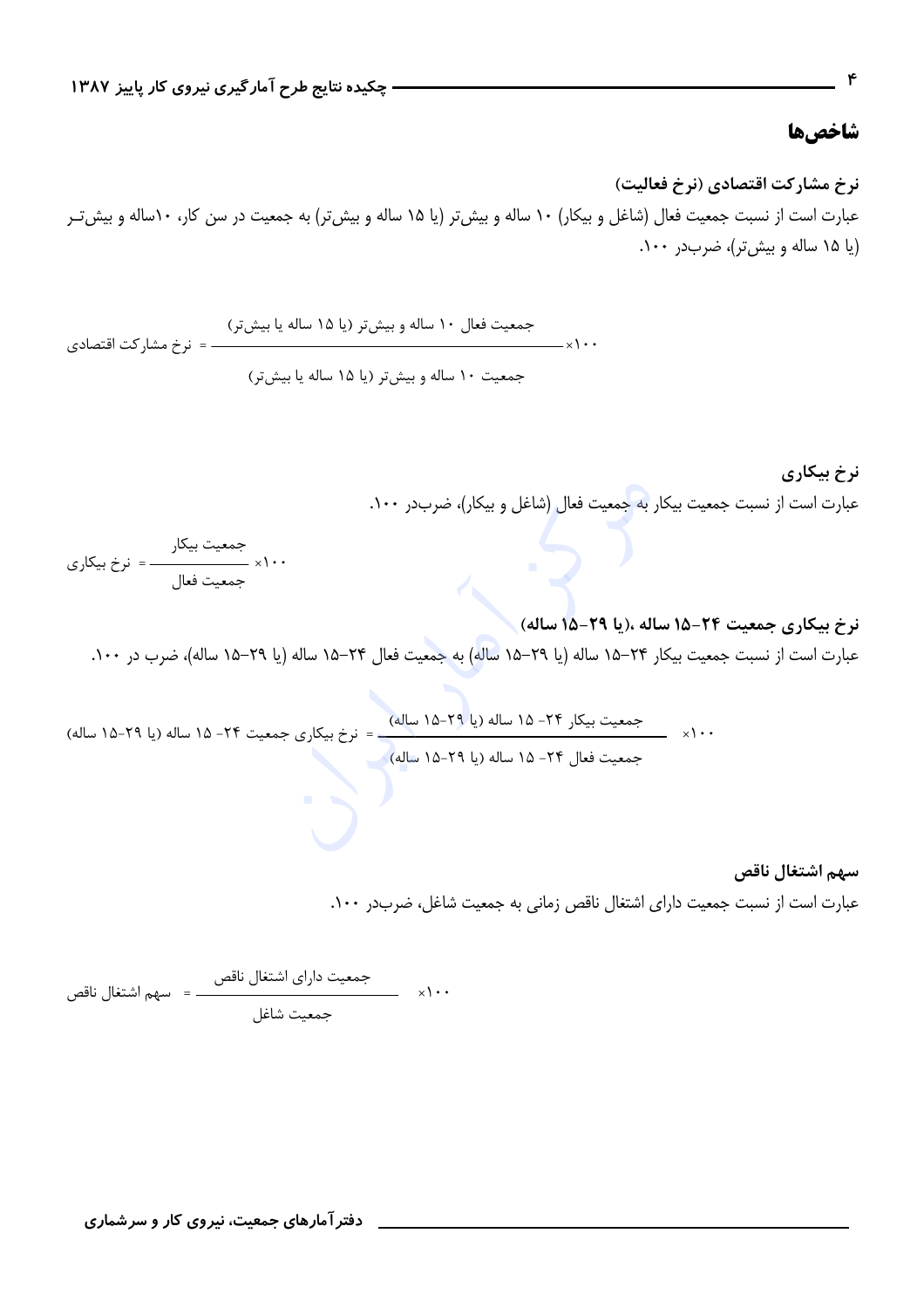## شاخصها

نرخ مشاركت اقتصادي (نرخ فعاليت) عبارت است از نسبت جمعیت فعال (شاغل و بیکار) ۱۰ ساله و بیش تر (یا ۱۵ ساله و بیش تر) به جمعیت در سن کار، ۱۰ساله و بیش *تـ*ر (یا ۱۵ ساله و بیش تر)، ضرب در ۱۰۰.

نرخ بیکاری عبارت است از نسبت جمعیت بیکار به جمعیت فعال (شاغل و بیکار)، ضربدر ۱۰۰.

# نرخ بيكاري جمعيت ٢۴-١۵ ساله ،(يا ٢٩-١۵ ساله) . عبارت است از نسبت جمعیت بیکار ۲۴–۱۵ ساله (یا ۲۹–۱۵ ساله) به جمعیت فعال ۲۴–۱۵ ساله (یا ۲۹–۱۵ ساله)، ضرب در ۱۰۰.

سهم اشتغال ناقص

عبارت است از نسبت جمعیت دارای اشتغال ناقص زمانی به جمعیت شاغل، ضربدر ۱۰۰.

دفتر آمارهای جمعیت، نیروی کار و سرشماری

 $\mathbf{r}$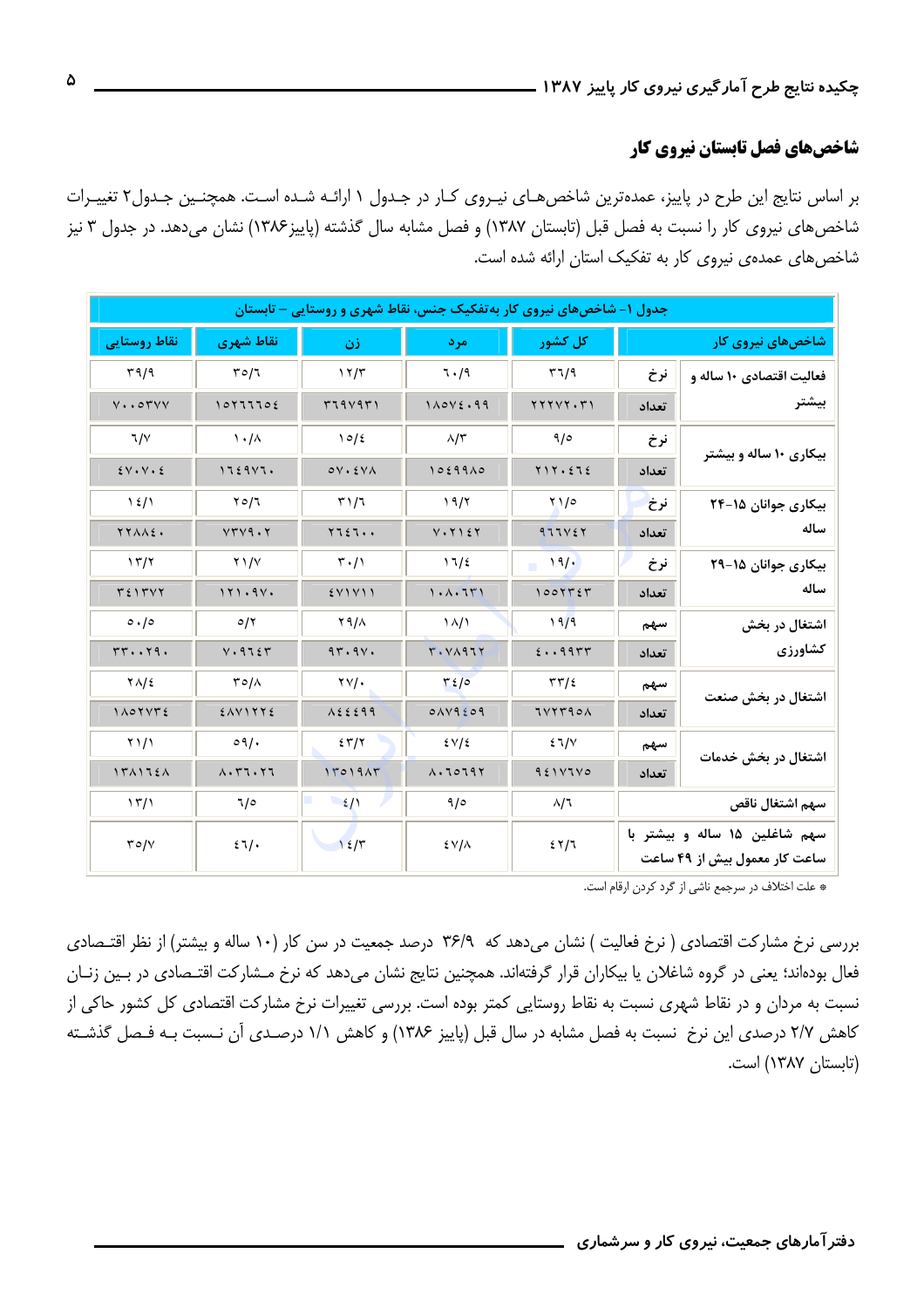# شاخصهای فصل تابستان نیروی کار

بر اساس نتایج این طرح در پاییز، عمدهترین شاخص هـای نیـروی کـار در جـدول ۱ ارائـه شـده اسـت. همچنـین جـدول۲ تغییـرات شاخصهای نیروی کار را نسبت به فصل قبل (تابستان ۱۳۸۷) و فصل مشابه سال گذشته (پاییز۱۳۸۶) نشان میدهد. در جدول ۳ نیز شاخصهای عمدهی نیروی کار به تفکیک استان ارائه شده است.

| جدول ۱– شاخصهای نیروی کار به تفکیک جنس، نقاط شهری و روستایی – تابستان |                                                                  |                                 |                                                                                                                                                                                                                                                                                                                                                                  |                                               |                                                                |                          |  |  |  |
|-----------------------------------------------------------------------|------------------------------------------------------------------|---------------------------------|------------------------------------------------------------------------------------------------------------------------------------------------------------------------------------------------------------------------------------------------------------------------------------------------------------------------------------------------------------------|-----------------------------------------------|----------------------------------------------------------------|--------------------------|--|--|--|
| نقاط روستایی                                                          | نقاط شهري                                                        | زن                              | مر د                                                                                                                                                                                                                                                                                                                                                             | کل کشور                                       | شاخصهای نیروی کار                                              |                          |  |  |  |
| 59/9                                                                  | 50/7                                                             | 17/5                            | ٦./٩                                                                                                                                                                                                                                                                                                                                                             | 57/9                                          | نرخ                                                            | فعالیت اقتصادی ۱۰ ساله و |  |  |  |
| $V \cdot \cdot \circ \mathsf{r} \vee \vee$                            | 10111102                                                         | 5794951                         | $1\wedge0\vee\&0.99$                                                                                                                                                                                                                                                                                                                                             | YYYYYY.                                       | تعداد                                                          | بيشتر                    |  |  |  |
| 7/1                                                                   | $\lambda \cdot / \lambda$                                        | 10/2                            | $\lambda/\tau$                                                                                                                                                                                                                                                                                                                                                   | ۹/٥                                           | نرخ                                                            | بیکاری ۱۰ ساله و بیشتر   |  |  |  |
| $2V \cdot V \cdot 2$                                                  | 112947.                                                          | $oV \cdot \Sigma V \wedge$      | 10299A0                                                                                                                                                                                                                                                                                                                                                          | $Y \setminus Y \cdot \Sigma \setminus \Sigma$ | تعداد                                                          |                          |  |  |  |
| $\frac{1}{2}$                                                         | $Y \circ 7$                                                      | 51/7                            | 19/7                                                                                                                                                                                                                                                                                                                                                             | $Y_1/e$                                       | نرخ                                                            | بیکاری جوانان ۱۵-۲۴      |  |  |  |
| YYAAE.                                                                | VTV9.7                                                           | $YI \Sigma I \cdot \cdot$       | $V \cdot Y$ $\leq Y$                                                                                                                                                                                                                                                                                                                                             | 977167                                        | تعداد                                                          | ساله                     |  |  |  |
| 17/7                                                                  | $Y \frac{1}{V}$                                                  | $\mathbf{r} \cdot / \mathbf{r}$ | 11/2                                                                                                                                                                                                                                                                                                                                                             | 19/                                           | نرخ                                                            | بیکاری جوانان ۱۵-۲۹      |  |  |  |
| $T \xi$ $\Upsilon \vee \Upsilon$                                      | 111.94.                                                          | $5$ V 1 V 1 1                   | 1.1.11                                                                                                                                                                                                                                                                                                                                                           | 1001757                                       | تعداد                                                          | ساله                     |  |  |  |
| $\circ \cdot / \circ$                                                 | O/Y                                                              | Y 9/A                           | $\lambda/\lambda$                                                                                                                                                                                                                                                                                                                                                | 19/9                                          | سهم                                                            | اشتغال در بخش            |  |  |  |
| rr.111.                                                               | V.9755                                                           | 97.9V.                          | Y. VAA1Y                                                                                                                                                                                                                                                                                                                                                         | 2.1995                                        | تعداد                                                          | كشاورزى                  |  |  |  |
| $Y\Lambda/\epsilon$                                                   | $\Gamma \circ / \wedge$                                          | $\gamma \vee \gamma$ .          | 56/2                                                                                                                                                                                                                                                                                                                                                             | $\tau\tau/\epsilon$                           | سهم                                                            | اشتغال در بخش صنعت       |  |  |  |
| 1 A O Y V T E                                                         | $2$ $\wedge$ $\vee$ $\wedge$ $\wedge$ $\wedge$ $\wedge$ $\wedge$ | $\lambda$ { $\epsilon$ { 99     | 0AY9209                                                                                                                                                                                                                                                                                                                                                          | 1VYT901                                       | تعداد                                                          |                          |  |  |  |
| $Y \setminus / Y$                                                     | $\circ \eta$ .                                                   | 55/7                            | 2V/2                                                                                                                                                                                                                                                                                                                                                             | 21/V                                          | سهم                                                            | اشتغال در بخش خدمات      |  |  |  |
| 151156                                                                | $\Lambda$ . $\Upsilon$ $\Upsilon$ . $\Upsilon$ $\Upsilon$        | 11019AT                         | $\Lambda$ . $\lozenge$ $\lozenge$ $\lozenge$ $\lozenge$ $\lozenge$ $\lozenge$ $\lozenge$ $\lozenge$ $\lozenge$ $\lozenge$ $\lozenge$ $\lozenge$ $\lozenge$ $\lozenge$ $\lozenge$ $\lozenge$ $\lozenge$ $\lozenge$ $\lozenge$ $\lozenge$ $\lozenge$ $\lozenge$ $\lozenge$ $\lozenge$ $\lozenge$ $\lozenge$ $\lozenge$ $\lozenge$ $\lozenge$ $\lozenge$ $\lozenge$ | 951V1V0                                       | تعداد                                                          |                          |  |  |  |
| $\binom{1}{1}$                                                        | 7/0                                                              | 2/1                             | 9/0                                                                                                                                                                                                                                                                                                                                                              | $\lambda/7$                                   | سهم اشتغال ناقص                                                |                          |  |  |  |
| T O/V                                                                 | 21/                                                              | 127                             | $\frac{2}{\sqrt{2}}$                                                                                                                                                                                                                                                                                                                                             | 2577                                          | سهم شاغلین ۱۵ ساله و بیشتر با<br>ساعت کار معمول بیش از ۴۹ ساعت |                          |  |  |  |

\* علت اختلاف در سرجمع ناشي از گرد كردن ارقام است.

بررسی نرخ مشارکت اقتصادی ( نرخ فعالیت ) نشان میدهد که ۳۶/۹ درصد جمعیت در سن کار (۱۰ ساله و بیشتر) از نظر اقتـصادی فعال بودهاند؛ یعنی در گروه شاغلان یا بیکاران قرار گرفتهاند. همچنین نتایج نشان میدهد که نرخ مـشارکت اقتـصادی در بـین زنـان نسبت به مردان و در نقاط شهری نسبت به نقاط روستایی کمتر بوده است. بررسی تغییرات نرخ مشارکت اقتصادی کل کشور حاکی از كاهش ٢/٧ درصدي اين نرخ نسبت به فصل مشابه در سال قبل (پاييز ١٣٨۶) و كاهش ١/١ درصـدي آن نـسبت بـه فـصل گذشـته (تابستان ١٣٨٧) است.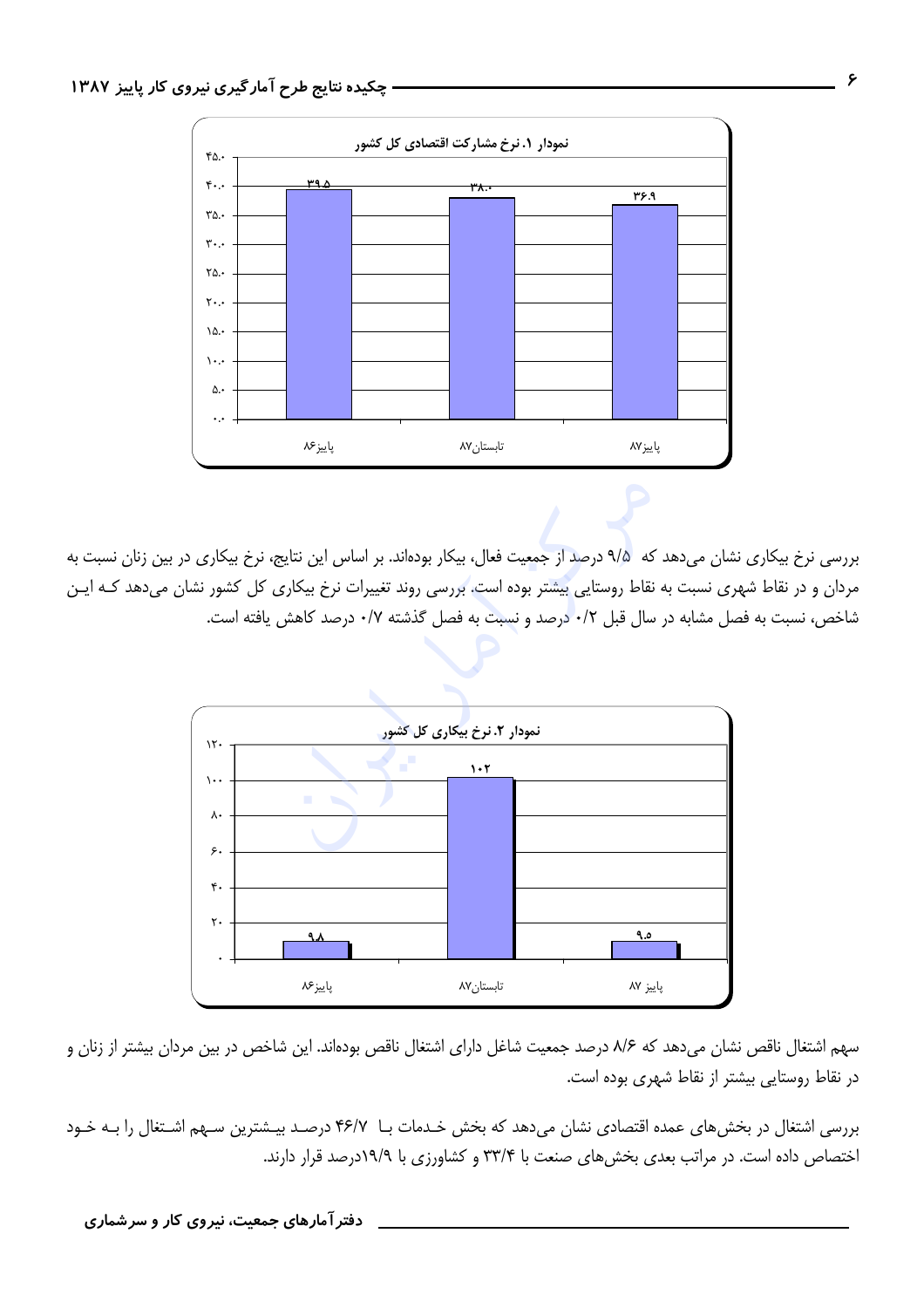

بررسی نرخ بیکاری نشان میدهد که ۹/۵ درصد از جمعیت فعال، بیکار بودهاند. بر اساس این نتایج، نرخ بیکاری در بین زنان نسبت به مردان و در نقاط شهری نسبت به نقاط روستایی بیشتر بوده است. بررسی روند تغییرات نرخ بیکاری کل کشور نشان میدهد کـه ایـن شاخص، نسبت به فصل مشابه در سال قبل ٠/٢ درصد و نسبت به فصل گذشته ٠/٧ درصد كاهش يافته است.



سهم اشتغال ناقص نشان میدهد که ۸/۶ درصد جمعیت شاغل دارای اشتغال ناقص بودهاند. این شاخص در بین مردان بیشتر از زنان و در نقاط روستایی بیشتر از نقاط شهری بوده است.

بررسی اشتغال در بخش های عمده اقتصادی نشان میدهد که بخش خـدمات بــا ۴۶/۷ درصـد بیـشترین سـهم اشـتغال را بــه خـود اختصاص داده است. در مراتب بعدی بخشهای صنعت با ۳۳/۴ و کشاورزی با ۱۹/۹درصد قرار دارند.

دفتر آمارهای جمعیت، نیروی کار و سرشماری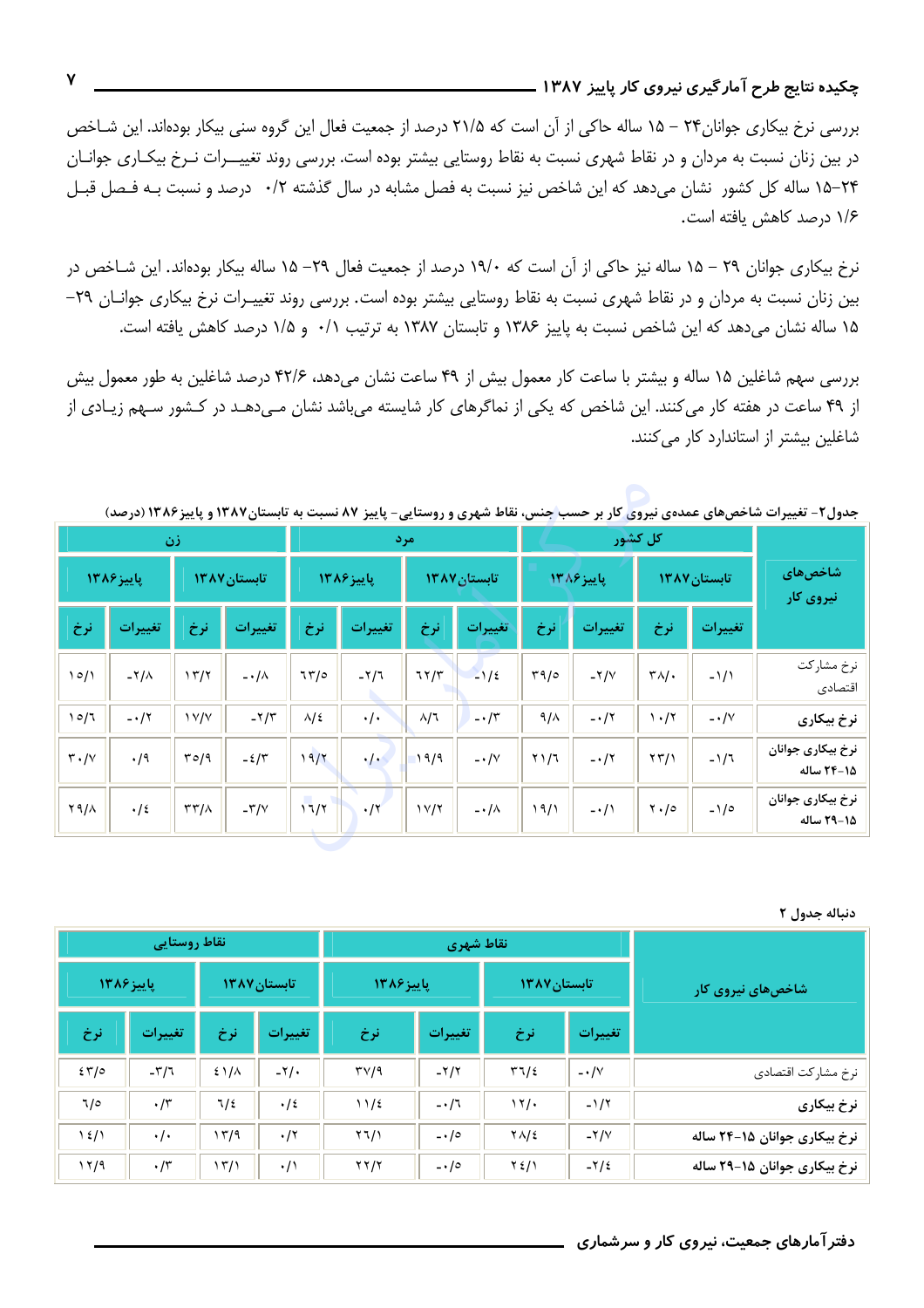### چکیده نتایج طرح آمار گیری نیروی کار پاییز ۱۳۸۷ .

بررسی نرخ بیکاری جوانان ۲۴ – ۱۵ ساله حاکی از آن است که ۲۱/۵ درصد از جمعیت فعال این گروه سنی بیکار بودهاند. این شـاخص در بین زنان نسبت به مردان و در نقاط شهری نسبت به نقاط روستایی بیشتر بوده است. بررسی روند تغییـــرات نــرخ بیکـاری جوانــان ۲۴−۱۵ ساله کل کشور نشان میدهد که این شاخص نیز نسبت به فصل مشابه در سال گذشته ۰/۲ درصد و نسبت بـه فـصل قبـل ١/۶ درصد كاهش يافته است.

نرخ بیکاری جوانان ۲۹ – ۱۵ ساله نیز حاکی از آن است که ۱۹/۰ درصد از جمعیت فعال ۲۹– ۱۵ ساله بیکار بودهاند. این شـاخص در بین زنان نسبت به مردان و در نقاط شهری نسبت به نقاط روستایی بیشتر بوده است. بررسی روند تغییـرات نرخ بیکاری جوانـان ٢٩– ۱۵ ساله نشان میدهد که این شاخص نسبت به پاییز ۱۳۸۶ و تابستان ۱۳۸۷ به ترتیب ۰/۱ و ۱/۵ درصد کاهش یافته است.

بررسی سهم شاغلین ۱۵ ساله و بیشتر با ساعت کار معمول بیش از ۴۹ ساعت نشان میدهد، ۴۲/۶ درصد شاغلین به طور معمول بیش از ۴۹ ساعت در هفته کار میکنند. این شاخص که یکی از نماگرهای کار شایسته میباشد نشان مـیدهـد در کـشور سـهم زیـادی از شاغلین بیشتر از استاندارد کار می کنند.

| <i>.</i><br>--                  | ັ<br>$\cdots$<br><i>,,,</i><br>ັບ <i>ມ</i> ະບ<br><b>- -</b><br>کل کشور |                                       |            |                  | پ<br>,,, , <b>,,</b><br>امر د |              |                   |               | $\overline{\phantom{a}}$<br><i>_</i><br>ັ<br>$\bullet$<br>زن |                      |                |                               |  |
|---------------------------------|------------------------------------------------------------------------|---------------------------------------|------------|------------------|-------------------------------|--------------|-------------------|---------------|--------------------------------------------------------------|----------------------|----------------|-------------------------------|--|
| <b>شاخصهای</b><br>إنيروي كار    | تابستان ۱۳۸۷                                                           |                                       | باييز ۱۳۸۶ |                  | تابستان ١٣٨٧                  |              | پاییز ۱۳۸۶        |               | تابستان ١٣٨٧                                                 |                      | پاییز۱۳۸۶      |                               |  |
|                                 | تغييرات                                                                | نرخ                                   | تغييرات    | نرخ              | تغييرات                       | نرخ          | تغييرات           | نرخ           | تغييرات                                                      | نرخ                  | تغييرات        | نرخ                           |  |
| نرخ مشاركت<br>اقتصادى           | $-1/1$                                                                 | $\tau \wedge /$                       | $-Y/V$     | 79/0             | $-1/2$                        | 77/7         | $-7/7$            | 77/0          | $-\cdot/\lambda$                                             | 15/7                 | $-\frac{1}{4}$ | 10/1                          |  |
| نرخ بيكاري                      | $-\cdot/\vee$                                                          | $\mathcal{N} \cdot \mathcal{N}$       | $-\cdot 7$ | $9/\lambda$      | $-\cdot/5$                    | $\lambda/3$  | $\cdot/\cdot$     | $\lambda/\xi$ | $-\frac{1}{\pi}$                                             | $\frac{1}{\sqrt{2}}$ | $-\cdot/7$     | 10/7                          |  |
| نرخ بيكارى جوانان<br>1۵-۲۴ ساله | $-1/7$                                                                 | $\langle \uparrow \uparrow / \rangle$ | $-17$      | $Y \setminus /I$ | $-\cdot/\vee$                 | 19/9         | $\cdot$ / $\cdot$ | 19/7          | $-2/\tilde{\tau}$                                            | 70/9                 | $\cdot$ /9     | $\mathsf{r} \cdot \mathsf{N}$ |  |
| نرخ بیکاری جوانان<br>1۵-۲۹ ساله | $-1/0$                                                                 | $\mathbf{Y} \cdot \mathbf{0}$         | $-\cdot/1$ | 19/1             | $-\cdot/\lambda$              | $1 \vee / 7$ | $\cdot$ /۲        | 11/7          | $-\nabla/\nabla$                                             | $\tau\tau/\lambda$   | $\cdot/2$      | ۲۹/۸                          |  |

حدول ۲. استغندات شاخص های عمدهی نیروی کار بر حسب جنس، نقاط شهری و روستایی- پاییز ۸۷ نسبت به تابستان ۱۳۸۷ و پاییز ۱۳۸۶ (درصد)

### دنباله جدول ٢

|                              |                  | انقاط شهري        | نقاط روستايي                  |                          |                     |                            |                |               |
|------------------------------|------------------|-------------------|-------------------------------|--------------------------|---------------------|----------------------------|----------------|---------------|
| شاخصهای نیروی کار            | /تابستان ۱۳۸۷    |                   |                               | ياييز ١٣٨۶               | <b>تابستان ۱۳۸۷</b> |                            | ياييز ١٣٨۶     |               |
|                              | تغييرات          | نرخ               | تغييرات                       | نرخ                      | تغييرات             | نرخ                        | تغييرات        | نرخ           |
| نرخ مشاركت اقتصادى           | $- \cdot / \vee$ | 51/2              | $-7/7$                        | $\mathsf{TV}/\mathsf{1}$ | $-\frac{1}{2}$      | $21/\lambda$               | $-\nabla/\tau$ | 55/0          |
| نرخ بيكارى                   | $-1/7$           | 17/               | $-17$                         | 11/2                     | $\cdot/2$           | $1/\ell$                   | $\cdot$ /٣     | 7/0           |
| نرخ بیکاری جوانان ۱۵–۲۴ ساله | $-Y/V$           | $Y\Lambda/\Sigma$ | $\frac{1}{2}$ ./ $\circ$      | Y7/1                     | $\cdot$ /۲          | 17/9                       | $\cdot/\cdot$  | $\frac{1}{2}$ |
| نرخ بیکاری جوانان ۱۵–۲۹ ساله | $-\frac{1}{2}$   | $Y \frac{2}{3}$   | $\overline{\cdot}$ $\cdot$ /0 | YY/Y                     | $\cdot/$            | $\langle \nabla f \rangle$ | $\cdot$ /٣     | 17/9          |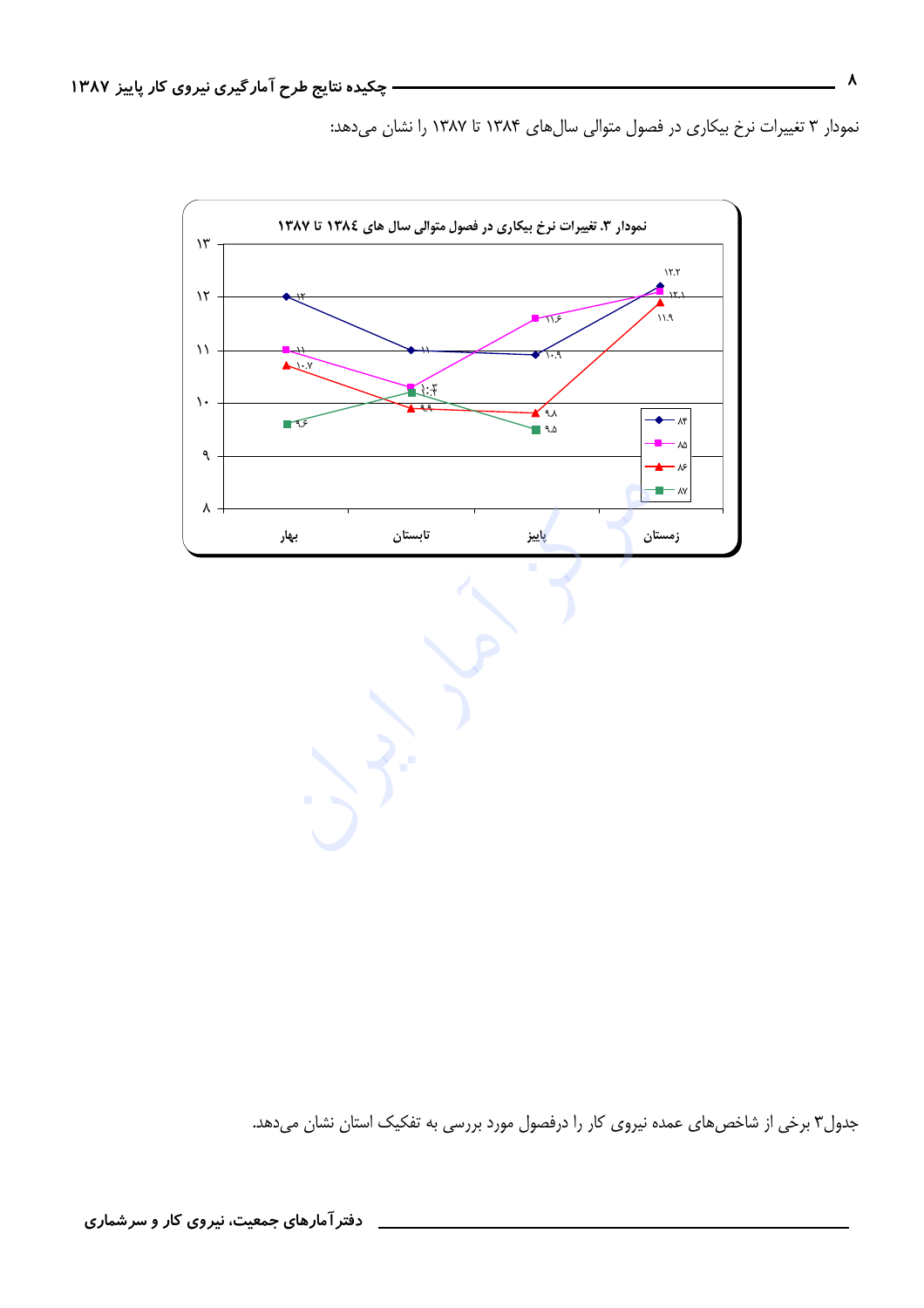نمودار ۳ تغییرات نرخ بیکاری در فصول متوالی سال های ۱۳۸۴ تا ۱۳۸۷ را نشان می دهد:



جدول۳ برخی از شاخصهای عمده نیروی کار را درفصول مورد بررسی به تفکیک استان نشان میدهد.